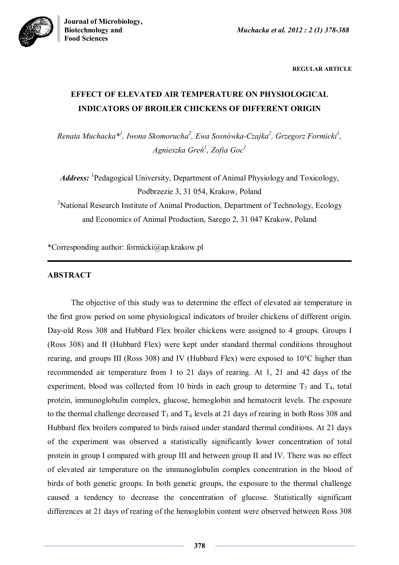



**REGULAR ARTICLE**

# **EFFECT OF ELEVATED AIR TEMPERATURE ON PHYSIOLOGICAL INDICATORS OF BROILER CHICKENS OF DIFFERENT ORIGIN**

*Renata Muchacka\* 1 , Iwona Skomorucha<sup>2</sup> , Ewa Sosnówka-Czajka<sup>2</sup> , Grzegorz Formicki<sup>1</sup> , Agnieszka Greń<sup>1</sup> , Zofia Goc<sup>1</sup>*

Address: <sup>1</sup>Pedagogical University, Department of Animal Physiology and Toxicology, Podbrzezie 3, 31 054, Krakow, Poland

<sup>2</sup>National Research Institute of Animal Production, Department of Technology, Ecology and Economics of Animal Production, Sarego 2, 31 047 Krakow, Poland

\*Corresponding author: formicki@ap.krakow.pl

### **ABSTRACT**

The objective of this study was to determine the effect of elevated air temperature in the first grow period on some physiological indicators of broiler chickens of different origin. Day-old Ross 308 and Hubbard Flex broiler chickens were assigned to 4 groups. Groups I (Ross 308) and II (Hubbard Flex) were kept under standard thermal conditions throughout rearing, and groups III (Ross 308) and IV (Hubbard Flex) were exposed to 10°C higher than recommended air temperature from 1 to 21 days of rearing. At 1, 21 and 42 days of the experiment, blood was collected from 10 birds in each group to determine  $T_3$  and  $T_4$ , total protein, immunoglobulin complex, glucose, hemoglobin and hematocrit levels. The exposure to the thermal challenge decreased  $T_3$  and  $T_4$  levels at 21 days of rearing in both Ross 308 and Hubbard flex broilers compared to birds raised under standard thermal conditions. At 21 days of the experiment was observed a statistically significantly lower concentration of total protein in group I compared with group III and between group II and IV. There was no effect of elevated air temperature on the immunoglobulin complex concentration in the blood of birds of both genetic groups. In both genetic groups, the exposure to the thermal challenge caused a tendency to decrease the concentration of glucose. Statistically significant differences at 21 days of rearing of the hemoglobin content were observed between Ross 308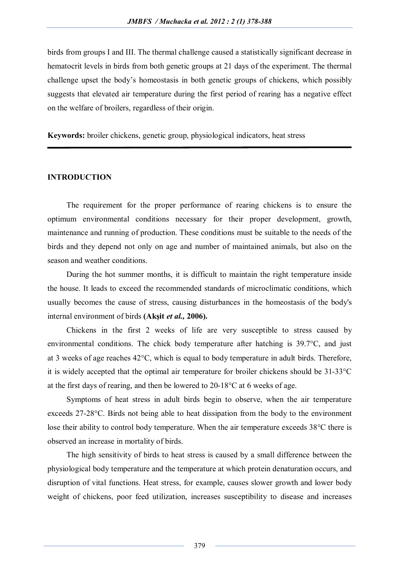birds from groups I and III. The thermal challenge caused a statistically significant decrease in hematocrit levels in birds from both genetic groups at 21 days of the experiment. The thermal challenge upset the body's homeostasis in both genetic groups of chickens, which possibly suggests that elevated air temperature during the first period of rearing has a negative effect on the welfare of broilers, regardless of their origin.

**Keywords:** broiler chickens, genetic group, physiological indicators, heat stress

### **INTRODUCTION**

The requirement for the proper performance of rearing chickens is to ensure the optimum environmental conditions necessary for their proper development, growth, maintenance and running of production. These conditions must be suitable to the needs of the birds and they depend not only on age and number of maintained animals, but also on the season and weather conditions.

During the hot summer months, it is difficult to maintain the right temperature inside the house. It leads to exceed the recommended standards of microclimatic conditions, which usually becomes the cause of stress, causing disturbances in the homeostasis of the body's internal environment of birds **(Akşit** *et al.,* **2006).**

Chickens in the first 2 weeks of life are very susceptible to stress caused by environmental conditions. The chick body temperature after hatching is 39.7°C, and just at 3 weeks of age reaches 42°C, which is equal to body temperature in adult birds. Therefore, it is widely accepted that the optimal air temperature for broiler chickens should be 31-33°C at the first days of rearing, and then be lowered to 20-18°C at 6 weeks of age.

Symptoms of heat stress in adult birds begin to observe, when the air temperature exceeds 27-28°C. Birds not being able to heat dissipation from the body to the environment lose their ability to control body temperature. When the air temperature exceeds 38°C there is observed an increase in mortality of birds.

The high sensitivity of birds to heat stress is caused by a small difference between the physiological body temperature and the temperature at which protein denaturation occurs, and disruption of vital functions. Heat stress, for example, causes slower growth and lower body weight of chickens, poor feed utilization, increases susceptibility to disease and increases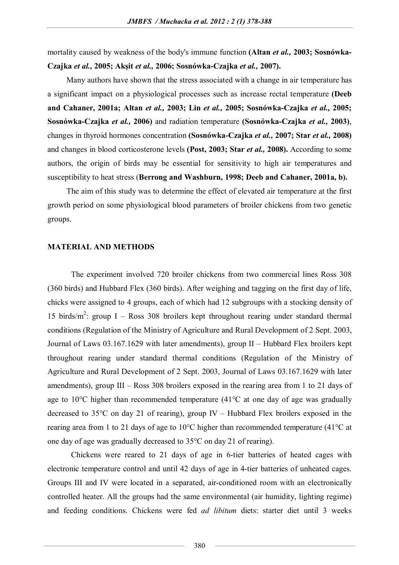mortality caused by weakness of the body's immune function **(Altan** *et al.,* **2003; Sosnówka-Czajka** *et al.,* **2005; Akşit** *et al.,* **2006; Sosnówka-Czajka** *et al.,* **2007).**

Many authors have shown that the stress associated with a change in air temperature has a significant impact on a physiological processes such as increase rectal temperature **(Deeb and Cahaner, 2001a; Altan** *et al.,* **2003; Lin** *et al.,* **2005; Sosnówka-Czajka** *et al.,* **2005; Sosnówka-Czajka** *et al.,* **2006)** and radiation temperature **(Sosnówka-Czajka** *et al.,* **2003)**, changes in thyroid hormones concentration **(Sosnówka-Czajka** *et al.,* **2007; Star** *et al.,* **2008)** and changes in blood corticosterone levels **(Post, 2003; Star** *et al.,* **2008).** According to some authors, the origin of birds may be essential for sensitivity to high air temperatures and susceptibility to heat stress (**Berrong and Washburn, 1998; Deeb and Cahaner, 2001a, b).**

The aim of this study was to determine the effect of elevated air temperature at the first growth period on some physiological blood parameters of broiler chickens from two genetic groups.

#### **MATERIAL AND METHODS**

The experiment involved 720 broiler chickens from two commercial lines Ross 308 (360 birds) and Hubbard Flex (360 birds). After weighing and tagging on the first day of life, chicks were assigned to 4 groups, each of which had 12 subgroups with a stocking density of 15 birds/m<sup>2</sup>: group I – Ross 308 broilers kept throughout rearing under standard thermal conditions (Regulation of the Ministry of Agriculture and Rural Development of 2 Sept. 2003, Journal of Laws 03.167.1629 with later amendments), group II – Hubbard Flex broilers kept throughout rearing under standard thermal conditions (Regulation of the Ministry of Agriculture and Rural Development of 2 Sept. 2003, Journal of Laws 03.167.1629 with later amendments), group III – Ross 308 broilers exposed in the rearing area from 1 to 21 days of age to 10°C higher than recommended temperature (41°C at one day of age was gradually decreased to 35°C on day 21 of rearing), group IV – Hubbard Flex broilers exposed in the rearing area from 1 to 21 days of age to 10°C higher than recommended temperature (41°C at one day of age was gradually decreased to 35°C on day 21 of rearing).

Chickens were reared to 21 days of age in 6-tier batteries of heated cages with electronic temperature control and until 42 days of age in 4-tier batteries of unheated cages. Groups III and IV were located in a separated, air-conditioned room with an electronically controlled heater. All the groups had the same environmental (air humidity, lighting regime) and feeding conditions. Chickens were fed *ad libitum* diets: starter diet until 3 weeks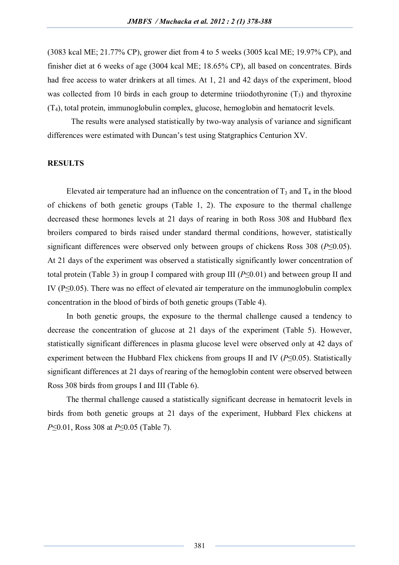(3083 kcal ME; 21.77% CP), grower diet from 4 to 5 weeks (3005 kcal ME; 19.97% CP), and finisher diet at 6 weeks of age (3004 kcal ME; 18.65% CP), all based on concentrates. Birds had free access to water drinkers at all times. At 1, 21 and 42 days of the experiment, blood was collected from 10 birds in each group to determine triiodothyronine  $(T_3)$  and thyroxine (T4), total protein, immunoglobulin complex, glucose, hemoglobin and hematocrit levels.

The results were analysed statistically by two-way analysis of variance and significant differences were estimated with Duncan's test using Statgraphics Centurion XV.

### **RESULTS**

Elevated air temperature had an influence on the concentration of  $T_3$  and  $T_4$  in the blood of chickens of both genetic groups (Table 1, 2). The exposure to the thermal challenge decreased these hormones levels at 21 days of rearing in both Ross 308 and Hubbard flex broilers compared to birds raised under standard thermal conditions, however, statistically significant differences were observed only between groups of chickens Ross 308 (*P*≤0.05). At 21 days of the experiment was observed a statistically significantly lower concentration of total protein (Table 3) in group I compared with group III (*P*≤0.01) and between group II and IV ( $P \le 0.05$ ). There was no effect of elevated air temperature on the immunoglobulin complex concentration in the blood of birds of both genetic groups (Table 4).

In both genetic groups, the exposure to the thermal challenge caused a tendency to decrease the concentration of glucose at 21 days of the experiment (Table 5). However, statistically significant differences in plasma glucose level were observed only at 42 days of experiment between the Hubbard Flex chickens from groups II and IV (*P*≤0.05). Statistically significant differences at 21 days of rearing of the hemoglobin content were observed between Ross 308 birds from groups I and III (Table 6).

The thermal challenge caused a statistically significant decrease in hematocrit levels in birds from both genetic groups at 21 days of the experiment, Hubbard Flex chickens at *P*≤0.01, Ross 308 at *P*≤0.05 (Table 7).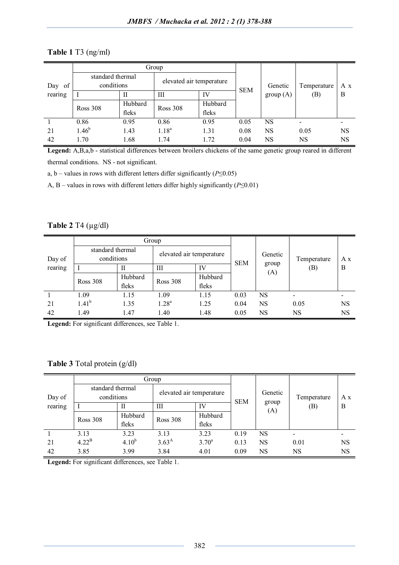|           | Group                          |         |                          |         |            |          |             |     |
|-----------|--------------------------------|---------|--------------------------|---------|------------|----------|-------------|-----|
| of<br>Day | standard thermal<br>conditions |         | elevated air temperature |         |            | Genetic  | Temperature | A x |
| rearing   |                                | Н       | Ш                        | IV      | <b>SEM</b> | group(A) | (B)         | B   |
|           | <b>Ross 308</b>                | Hubbard | <b>Ross 308</b>          | Hubbard |            |          |             |     |
|           |                                | fleks   |                          | fleks   |            |          |             |     |
|           | 0.86                           | 0.95    | 0.86                     | 0.95    | 0.05       | NS       | ۰           |     |
| 21        | $1.46^{b}$                     | 1.43    | $1.18^{a}$               | 1.31    | 0.08       | NS       | 0.05        | NS  |
| 42        | 1.70                           | 1.68    | 1.74                     | 1.72    | 0.04       | NS       | <b>NS</b>   | NS  |

### **Table 1** T3 (ng/ml)

**Legend:** A,B,a,b - statistical differences between broilers chickens of the same genetic group reared in different thermal conditions. NS - not significant.

a, b – values in rows with different letters differ significantly ( $P \le 0.05$ )

A, B – values in rows with different letters differ highly significantly (*P*≤0.01)

## **Table 2** T4 (µg/dl)

|                   | Group                          |         |                          |         |            |              |             |           |
|-------------------|--------------------------------|---------|--------------------------|---------|------------|--------------|-------------|-----------|
| Day of<br>rearing | standard thermal<br>conditions |         | elevated air temperature |         |            | Genetic      | Temperature | A x       |
|                   |                                | П       | Ш                        | IV      | <b>SEM</b> | group<br>(A) | (B)         | B         |
|                   | <b>Ross 308</b>                | Hubbard | <b>Ross 308</b>          | Hubbard |            |              |             |           |
|                   |                                | fleks   |                          | fleks   |            |              |             |           |
|                   | 1.09                           | 1.15    | 1.09                     | 1.15    | 0.03       | NS           | -           |           |
| 21                | $1.41^{b}$                     | 1.35    | 1.28 <sup>a</sup>        | 1.25    | 0.04       | NS           | 0.05        | <b>NS</b> |
| 42                | 1.49                           | 1.47    | 1.40                     | 1.48    | 0.05       | NS           | NS          | <b>NS</b> |

**Legend:** For significant differences, see Table 1.

**Table 3** Total protein (g/dl)

|         | Group                          |                  |                          |                  |            |              |             |           |
|---------|--------------------------------|------------------|--------------------------|------------------|------------|--------------|-------------|-----------|
| Day of  | standard thermal<br>conditions |                  | elevated air temperature |                  | <b>SEM</b> | Genetic      | Temperature | A x       |
| rearing |                                | Н                | Ш                        | IV               |            | group<br>(A) | (B)         | B         |
|         | <b>Ross 308</b>                | Hubbard<br>fleks | Ross 308                 | Hubbard<br>fleks |            |              |             |           |
|         | 3.13                           | 3.23             | 3.13                     | 3.23             | 0.19       | NS           |             |           |
| 21      | $4.22^{\mathrm{B}}$            | $4.10^{b}$       | $3.63^{A}$               | $3.70^{\circ}$   | 0.13       | NS           | 0.01        | NS        |
| 42      | 3.85                           | 3.99             | 3.84                     | 4.01             | 0.09       | NS           | NS          | <b>NS</b> |

**Legend:** For significant differences, see Table 1.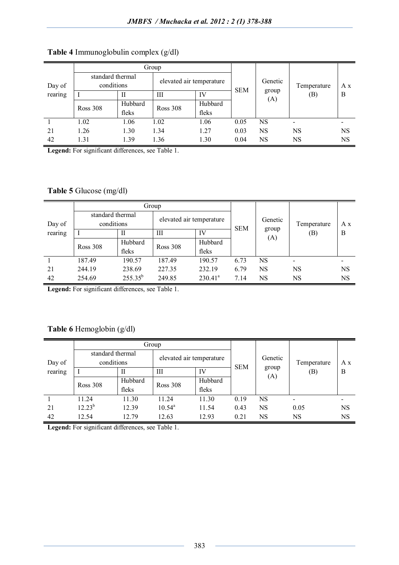|         | Group                          |         |                          |         |              |         |             |           |
|---------|--------------------------------|---------|--------------------------|---------|--------------|---------|-------------|-----------|
| Day of  | standard thermal<br>conditions |         | elevated air temperature |         | <b>SEM</b>   | Genetic | Temperature | A x       |
| rearing |                                | H       | Ш                        | IV      | group<br>(A) | (B)     | B           |           |
|         | <b>Ross 308</b>                | Hubbard | <b>Ross 308</b>          | Hubbard |              |         |             |           |
|         |                                | fleks   |                          | fleks   |              |         |             |           |
|         | 1.02                           | 1.06    | 1.02                     | 1.06    | 0.05         | NS      | $\,$        |           |
| 21      | 1.26                           | 1.30    | 1.34                     | 1.27    | 0.03         | NS      | <b>NS</b>   | <b>NS</b> |
| 42      | 1.31                           | 1.39    | 1.36                     | 1.30    | 0.04         | NS      | <b>NS</b>   | <b>NS</b> |

# **Table 4** Immunoglobulin complex (g/dl)

**Legend:** For significant differences, see Table 1.

# **Table 5** Glucose (mg/dl)

|                   | Group                          |                  |                          |                  |            |              |                          |           |
|-------------------|--------------------------------|------------------|--------------------------|------------------|------------|--------------|--------------------------|-----------|
| Day of<br>rearing | standard thermal<br>conditions |                  | elevated air temperature |                  | <b>SEM</b> | Genetic      | Temperature              | A x       |
|                   |                                | Н                | Ш                        | IV               |            | group<br>(A) | (B)                      | B         |
|                   | <b>Ross 308</b>                | Hubbard<br>fleks | <b>Ross 308</b>          | Hubbard<br>fleks |            |              |                          |           |
|                   | 187.49                         | 190.57           | 187.49                   | 190.57           | 6.73       | <b>NS</b>    | $\overline{\phantom{0}}$ |           |
| 21                | 244.19                         | 238.69           | 227.35                   | 232.19           | 6.79       | <b>NS</b>    | NS                       | <b>NS</b> |
| 42                | 254.69                         | $255.35^{b}$     | 249.85                   | $230.41^a$       | 7.14       | NS           | NS                       | NS        |

**Legend:** For significant differences, see Table 1.

# **Table 6** Hemoglobin (g/dl)

|                   | Group                          |                  |                          |                  |            |              |             |     |
|-------------------|--------------------------------|------------------|--------------------------|------------------|------------|--------------|-------------|-----|
| Day of<br>rearing | standard thermal<br>conditions |                  | elevated air temperature |                  | <b>SEM</b> | Genetic      | Temperature | A x |
|                   |                                | П                | Ш                        | IV               |            | group<br>(A) | (B)         | B   |
|                   | <b>Ross 308</b>                | Hubbard<br>fleks | <b>Ross 308</b>          | Hubbard<br>fleks |            |              |             |     |
|                   | 11.24                          | 11.30            | 11.24                    | 11.30            | 0.19       | NS           |             |     |
| 21                | $12.23^{b}$                    | 12.39            | $10.54^a$                | 11.54            | 0.43       | NS           | 0.05        | NS  |
| 42                | 12.54                          | 12.79            | 12.63                    | 12.93            | 0.21       | NS           | NS          | NS  |

**Legend:** For significant differences, see Table 1.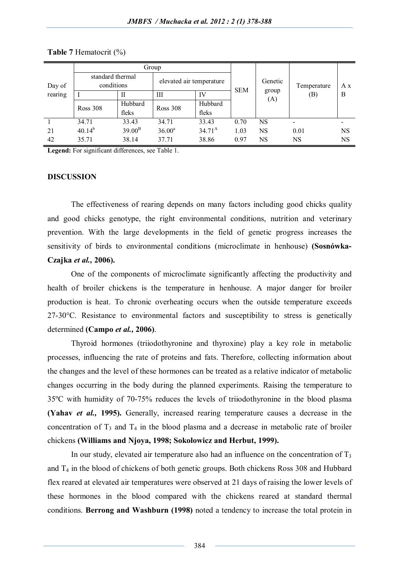|                   | Group                          |                  |                          |                  |            |              |             |     |
|-------------------|--------------------------------|------------------|--------------------------|------------------|------------|--------------|-------------|-----|
| Day of<br>rearing | standard thermal<br>conditions |                  | elevated air temperature |                  |            | Genetic      | Temperature | A x |
|                   |                                | Н                | Ш                        | IV               | <b>SEM</b> | group<br>(A) | (B)         | B   |
|                   | <b>Ross 308</b>                | Hubbard<br>fleks | Ross 308                 | Hubbard<br>fleks |            |              |             |     |
|                   | 34.71                          | 33.43            | 34.71                    | 33.43            | 0.70       | NS           |             |     |
| 21                | $40.14^{b}$                    | $39.00^{\rm B}$  | $36.00^a$                | $34.71^{\rm A}$  | 1.03       | <b>NS</b>    | 0.01        | NS  |
| 42                | 35.71                          | 38.14            | 37.71                    | 38.86            | 0.97       | NS           | <b>NS</b>   | NS  |

#### **Table 7** Hematocrit (%)

**Legend:** For significant differences, see Table 1.

#### **DISCUSSION**

The effectiveness of rearing depends on many factors including good chicks quality and good chicks genotype, the right environmental conditions, nutrition and veterinary prevention. With the large developments in the field of genetic progress increases the sensitivity of birds to environmental conditions (microclimate in henhouse) **(Sosnówka-Czajka** *et al.,* **2006).** 

One of the components of microclimate significantly affecting the productivity and health of broiler chickens is the temperature in henhouse. A major danger for broiler production is heat. To chronic overheating occurs when the outside temperature exceeds 27-30°C. Resistance to environmental factors and susceptibility to stress is genetically determined **(Campo** *et al.,* **2006)**.

Thyroid hormones (triiodothyronine and thyroxine) play a key role in metabolic processes, influencing the rate of proteins and fats. Therefore, collecting information about the changes and the level of these hormones can be treated as a relative indicator of metabolic changes occurring in the body during the planned experiments. Raising the temperature to 35ºC with humidity of 70-75% reduces the levels of triiodothyronine in the blood plasma **(Yahav** *et al.,* **1995).** Generally, increased rearing temperature causes a decrease in the concentration of  $T_3$  and  $T_4$  in the blood plasma and a decrease in metabolic rate of broiler chickens **(Williams and Njoya, 1998; Sokołowicz and Herbut, 1999).**

In our study, elevated air temperature also had an influence on the concentration of  $T_3$ and  $T_4$  in the blood of chickens of both genetic groups. Both chickens Ross 308 and Hubbard flex reared at elevated air temperatures were observed at 21 days of raising the lower levels of these hormones in the blood compared with the chickens reared at standard thermal conditions. **Berrong and Washburn (1998)** noted a tendency to increase the total protein in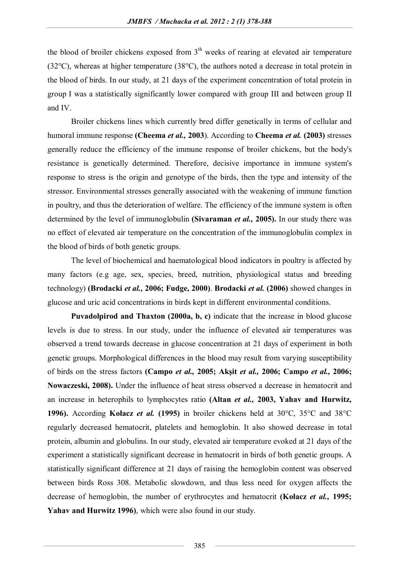the blood of broiler chickens exposed from  $3<sup>th</sup>$  weeks of rearing at elevated air temperature (32°C), whereas at higher temperature (38°C), the authors noted a decrease in total protein in the blood of birds. In our study, at 21 days of the experiment concentration of total protein in group I was a statistically significantly lower compared with group III and between group II and IV.

Broiler chickens lines which currently bred differ genetically in terms of cellular and humoral immune response **(Cheema** *et al.,* **2003**). According to **Cheema** *et al.* **(2003)** stresses generally reduce the efficiency of the immune response of broiler chickens, but the body's resistance is genetically determined. Therefore, decisive importance in immune system's response to stress is the origin and genotype of the birds, then the type and intensity of the stressor. Environmental stresses generally associated with the weakening of immune function in poultry, and thus the deterioration of welfare. The efficiency of the immune system is often determined by the level of immunoglobulin **(Sivaraman** *et al.,* **2005).** In our study there was no effect of elevated air temperature on the concentration of the immunoglobulin complex in the blood of birds of both genetic groups.

The level of biochemical and haematological blood indicators in poultry is affected by many factors (e.g age, sex, species, breed, nutrition, physiological status and breeding technology) **(Brodacki** *et al.,* **2006; Fudge, 2000)**. **Brodacki** *et al.* **(2006)** showed changes in glucose and uric acid concentrations in birds kept in different environmental conditions.

**Puvadolpirod and Thaxton (2000a, b, c)** indicate that the increase in blood glucose levels is due to stress. In our study, under the influence of elevated air temperatures was observed a trend towards decrease in glucose concentration at 21 days of experiment in both genetic groups. Morphological differences in the blood may result from varying susceptibility of birds on the stress factors **(Campo** *et al.,* **2005; Akşit** *et al.,* **2006; Campo** *et al.,* **2006; Nowaczeski, 2008).** Under the influence of heat stress observed a decrease in hematocrit and an increase in heterophils to lymphocytes ratio **(Altan** *et al.,* **2003, Yahav and Hurwitz, 1996).** According **Kołacz** *et al.* **(1995)** in broiler chickens held at 30°C, 35°C and 38°C regularly decreased hematocrit, platelets and hemoglobin. It also showed decrease in total protein, albumin and globulins. In our study, elevated air temperature evoked at 21 days of the experiment a statistically significant decrease in hematocrit in birds of both genetic groups. A statistically significant difference at 21 days of raising the hemoglobin content was observed between birds Ross 308. Metabolic slowdown, and thus less need for oxygen affects the decrease of hemoglobin, the number of erythrocytes and hematocrit **(Kołacz** *et al.,* **1995; Yahav and Hurwitz 1996)**, which were also found in our study.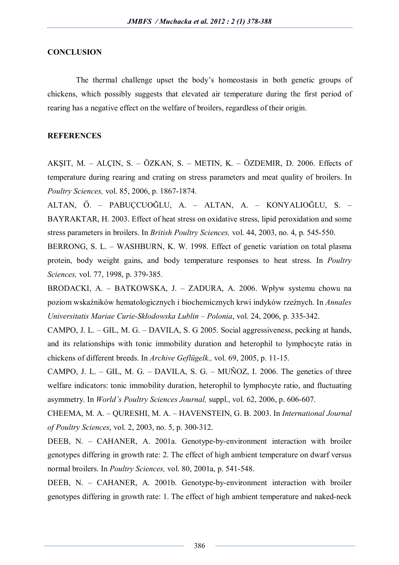### **CONCLUSION**

The thermal challenge upset the body's homeostasis in both genetic groups of chickens, which possibly suggests that elevated air temperature during the first period of rearing has a negative effect on the welfare of broilers, regardless of their origin.

### **REFERENCES**

AKŞIT, M. – ALÇIN, S. – ÖZKAN, S. – METIN, K. – ÖZDEMIR, D. 2006. Effects of temperature during rearing and crating on stress parameters and meat quality of broilers. In *Poultry Sciences,* vol. 85, 2006, p. 1867-1874.

ALTAN, Ő. – PABUÇCUOĞLU, A. – ALTAN, A. – KONYALIOĞLU, S. – BAYRAKTAR, H. 2003. Effect of heat stress on oxidative stress, lipid peroxidation and some stress parameters in broilers. In *British Poultry Sciences,* vol. 44, 2003, no. 4, p. 545-550.

BERRONG, S. L. – WASHBURN, K. W. 1998. Effect of genetic variation on total plasma protein, body weight gains, and body temperature responses to heat stress. In *Poultry Sciences,* vol. 77, 1998, p. 379-385.

BRODACKI, A. – BATKOWSKA, J. – ZADURA, A. 2006. Wpływ systemu chowu na poziom wskaźników hematologicznych i biochemicznych krwi indyków rzeźnych. In *Annales Universitatis Mariae Curie-Skłodowska Lublin – Polonia*, vol. 24, 2006, p. 335-342.

CAMPO, J. L. – GIL, M. G. – DAVILA, S. G 2005. Social aggressiveness, pecking at hands, and its relationships with tonic immobility duration and heterophil to lymphocyte ratio in chickens of different breeds. In *Archive Geflügelk.,* vol. 69, 2005, p. 11-15.

CAMPO, J. L. – GIL, M. G. – DAVILA, S. G. – MUÑOZ, I. 2006. The genetics of three welfare indicators: tonic immobility duration, heterophil to lymphocyte ratio, and fluctuating asymmetry. In *World's Poultry Sciences Journal,* suppl., vol. 62, 2006, p. 606-607.

CHEEMA, M. A. – QURESHI, M. A. – HAVENSTEIN, G. B. 2003. In *International Journal of Poultry Sciences*, vol. 2, 2003, no. 5, p. 300-312.

DEEB, N. – CAHANER, A. 2001a. Genotype-by-environment interaction with broiler genotypes differing in growth rate: 2. The effect of high ambient temperature on dwarf versus normal broilers. In *Poultry Sciences,* vol. 80, 2001a, p. 541-548.

DEEB, N. – CAHANER, A. 2001b. Genotype-by-environment interaction with broiler genotypes differing in growth rate: 1. The effect of high ambient temperature and naked-neck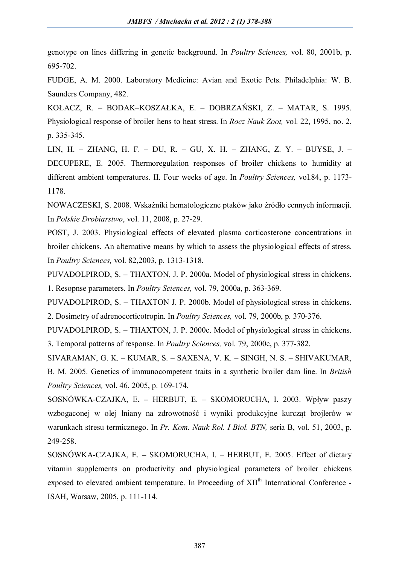genotype on lines differing in genetic background. In *Poultry Sciences,* vol. 80, 2001b, p. 695-702.

FUDGE, A. M. 2000. Laboratory Medicine: Avian and Exotic Pets. Philadelphia: W. B. Saunders Company, 482.

KOŁACZ, R. – BODAK–KOSZAŁKA, E. – DOBRZAŃSKI, Z. – MATAR, S. 1995. Physiological response of broiler hens to heat stress. In *Rocz Nauk Zoot,* vol. 22, 1995, no. 2, p. 335-345.

LIN, H. – ZHANG, H. F. – DU, R. – GU, X. H. – ZHANG, Z. Y. – BUYSE, J. – DECUPERE, E. 2005. Thermoregulation responses of broiler chickens to humidity at different ambient temperatures. II. Four weeks of age. In *Poultry Sciences,* vol.84, p. 1173- 1178.

NOWACZESKI, S. 2008. Wskaźniki hematologiczne ptaków jako źródło cennych informacji. In *Polskie Drobiarstwo*, vol. 11, 2008, p. 27-29.

POST, J. 2003. Physiological effects of elevated plasma corticosterone concentrations in broiler chickens. An alternative means by which to assess the physiological effects of stress. In *Poultry Sciences,* vol. 82,2003, p. 1313-1318.

PUVADOLPIROD, S. – THAXTON, J. P. 2000a. Model of physiological stress in chickens. 1. Resopnse parameters. In *Poultry Sciences,* vol. 79, 2000a, p. 363-369.

PUVADOLPIROD, S. – THAXTON J. P. 2000b. Model of physiological stress in chickens. 2. Dosimetry of adrenocorticotropin. In *Poultry Sciences,* vol. 79, 2000b, p. 370-376.

PUVADOLPIROD, S. – THAXTON, J. P. 2000c. Model of physiological stress in chickens. 3. Temporal patterns of response. In *Poultry Sciences,* vol. 79, 2000c, p. 377-382.

SIVARAMAN, G. K. – KUMAR, S. – SAXENA, V. K. – SINGH, N. S. – SHIVAKUMAR, B. M. 2005. Genetics of immunocompetent traits in a synthetic broiler dam line. In *British Poultry Sciences,* vol. 46, 2005, p. 169-174.

SOSNÓWKA-CZAJKA, E**. –** HERBUT, E. – SKOMORUCHA, I. 2003. Wpływ paszy wzbogaconej w olej lniany na zdrowotność i wyniki produkcyjne kurcząt brojlerów w warunkach stresu termicznego. In *Pr. Kom. Nauk Rol. I Biol. BTN,* seria B, vol. 51, 2003, p. 249-258.

SOSNÓWKA-CZAJKA, E. **–** SKOMORUCHA, I. – HERBUT, E. 2005. Effect of dietary vitamin supplements on productivity and physiological parameters of broiler chickens exposed to elevated ambient temperature. In Proceeding of XII<sup>th</sup> International Conference -ISAH, Warsaw, 2005, p. 111-114.